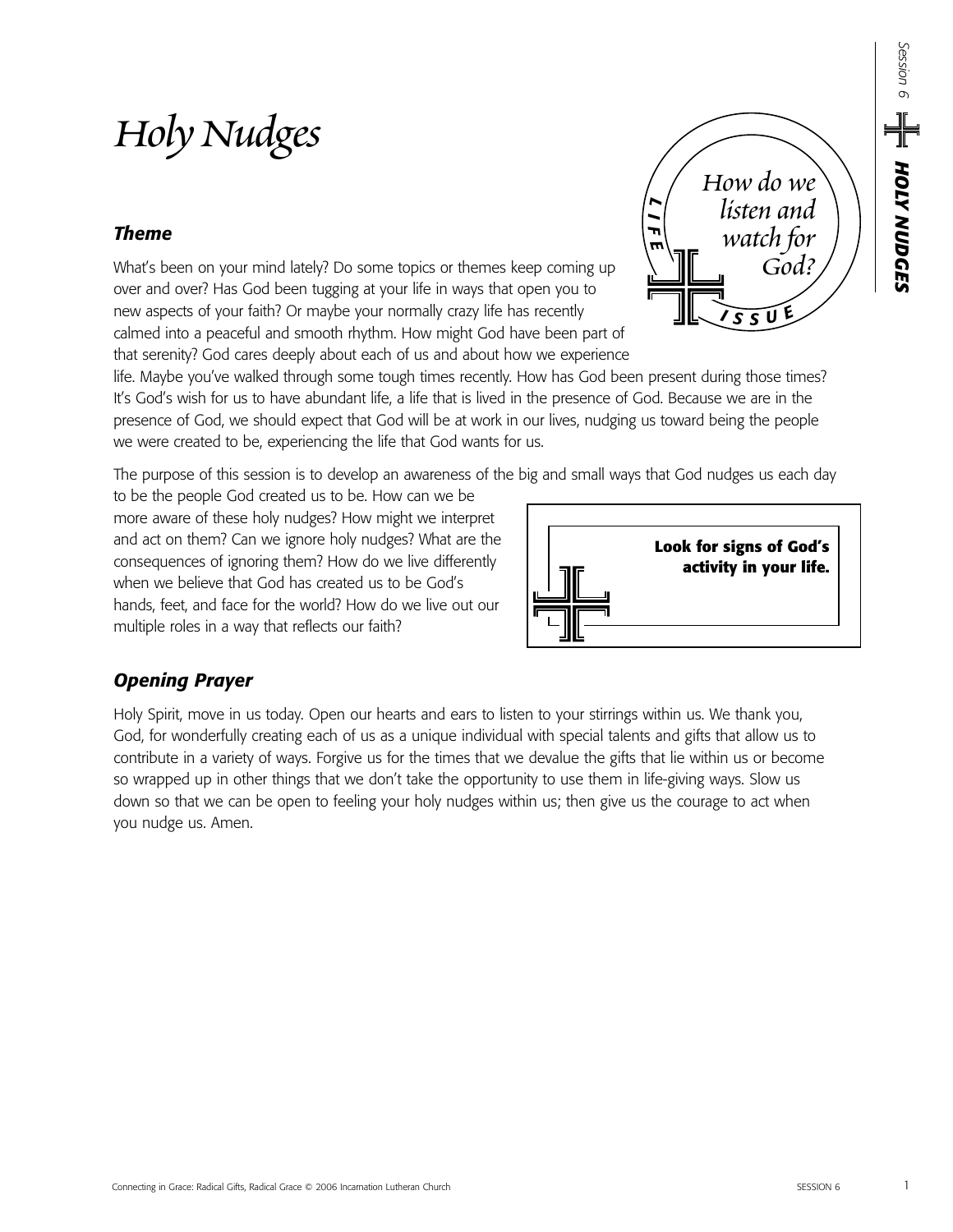# *Holy Nudges*

## *Theme*

What's been on your mind lately? Do some topics or themes keep coming up over and over? Has God been tugging at your life in ways that open you to new aspects of your faith? Or maybe your normally crazy life has recently calmed into a peaceful and smooth rhythm. How might God have been part of that serenity? God cares deeply about each of us and about how we experience

life. Maybe you've walked through some tough times recently. How has God been present during those times? It's God's wish for us to have abundant life, a life that is lived in the presence of God. Because we are in the presence of God, we should expect that God will be at work in our lives, nudging us toward being the people we were created to be, experiencing the life that God wants for us.

The purpose of this session is to develop an awareness of the big and small ways that God nudges us each day

to be the people God created us to be. How can we be more aware of these holy nudges? How might we interpret and act on them? Can we ignore holy nudges? What are the consequences of ignoring them? How do we live differently when we believe that God has created us to be God's hands, feet, and face for the world? How do we live out our multiple roles in a way that reflects our faith?

## *Opening Prayer*  Holy Spirit, move in us today. Open our hearts and ears to listen to your stirrings within us. We thank you,

God, for wonderfully creating each of us as a unique individual with special talents and gifts that allow us to contribute in a variety of ways. Forgive us for the times that we devalue the gifts that lie within us or become so wrapped up in other things that we don't take the opportunity to use them in life-giving ways. Slow us down so that we can be open to feeling your holy nudges within us; then give us the courage to act when you nudge us. Amen.



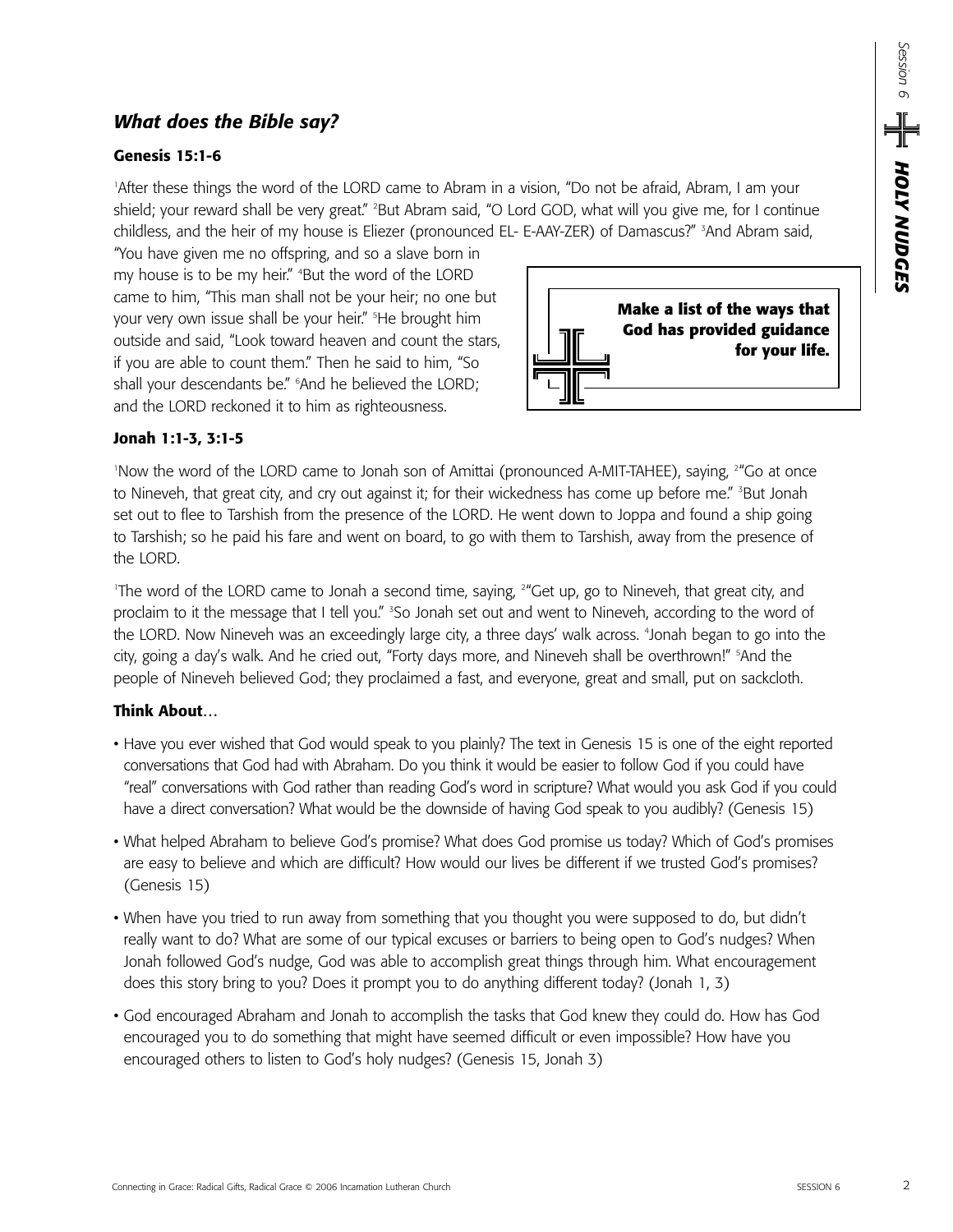## *What does the Bible say?*

#### **Genesis 15:1-6**

1 After these things the word of the LORD came to Abram in a vision, "Do not be afraid, Abram, I am your shield; your reward shall be very great." <sup>2</sup>But Abram said, "O Lord GOD, what will you give me, for I continue childless, and the heir of my house is Eliezer (pronounced EL- E-AAY-ZER) of Damascus?" <sup>3</sup>And Abram said,

"You have given me no offspring, and so a slave born in my house is to be my heir." 4 But the word of the LORD came to him, "This man shall not be your heir; no one but your very own issue shall be your heir." 5 He brought him outside and said, "Look toward heaven and count the stars, if you are able to count them." Then he said to him, "So shall your descendants be." 6 And he believed the LORD; and the LORD reckoned it to him as righteousness.



#### **Jonah 1:1-3, 3:1-5**

'Now the word of the LORD came to Jonah son of Amittai (pronounced A-MIT-TAHEE), saying, <sup>24</sup>Go at once to Nineveh, that great city, and cry out against it; for their wickedness has come up before me." <sup>3</sup>But Jonah set out to flee to Tarshish from the presence of the LORD. He went down to Joppa and found a ship going to Tarshish; so he paid his fare and went on board, to go with them to Tarshish, away from the presence of the LORD.

1 The word of the LORD came to Jonah a second time, saying, 2 "Get up, go to Nineveh, that great city, and proclaim to it the message that I tell you." <sup>3</sup>So Jonah set out and went to Nineveh, according to the word of the LORD. Now Nineveh was an exceedingly large city, a three days' walk across. 4 Jonah began to go into the city, going a day's walk. And he cried out, "Forty days more, and Nineveh shall be overthrown!" 5 And the people of Nineveh believed God; they proclaimed a fast, and everyone, great and small, put on sackcloth.

#### **Think About…**

- Have you ever wished that God would speak to you plainly? The text in Genesis 15 is one of the eight reported conversations that God had with Abraham. Do you think it would be easier to follow God if you could have "real" conversations with God rather than reading God's word in scripture? What would you ask God if you could have a direct conversation? What would be the downside of having God speak to you audibly? (Genesis 15)
- What helped Abraham to believe God's promise? What does God promise us today? Which of God's promises are easy to believe and which are difficult? How would our lives be different if we trusted God's promises? (Genesis 15)
- When have you tried to run away from something that you thought you were supposed to do, but didn't really want to do? What are some of our typical excuses or barriers to being open to God's nudges? When Jonah followed God's nudge, God was able to accomplish great things through him. What encouragement does this story bring to you? Does it prompt you to do anything different today? (Jonah 1, 3)
- God encouraged Abraham and Jonah to accomplish the tasks that God knew they could do. How has God encouraged you to do something that might have seemed difficult or even impossible? How have you encouraged others to listen to God's holy nudges? (Genesis 15, Jonah 3)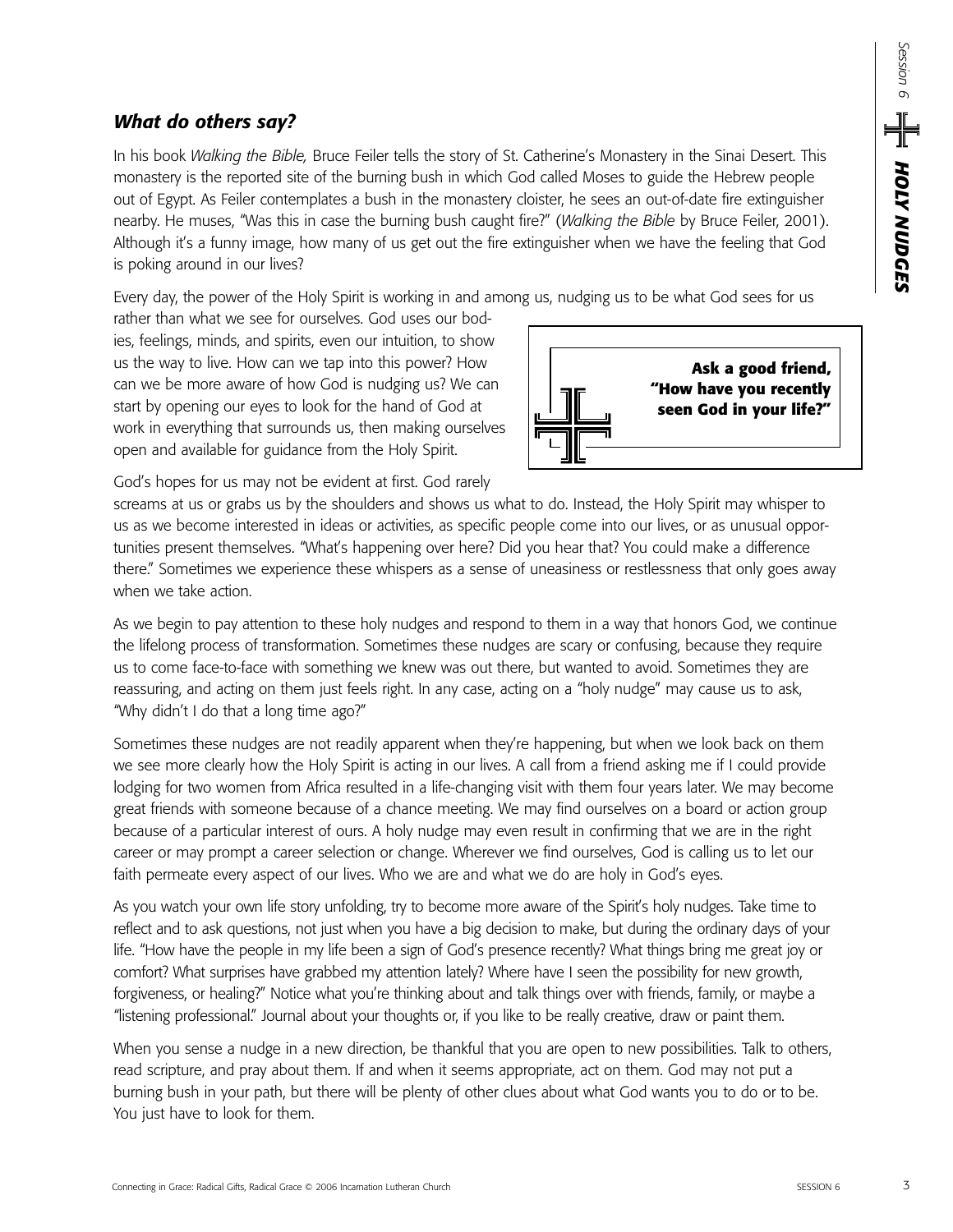## *What do others say?*

In his book *Walking the Bible,* Bruce Feiler tells the story of St. Catherine's Monastery in the Sinai Desert. This monastery is the reported site of the burning bush in which God called Moses to guide the Hebrew people out of Egypt. As Feiler contemplates a bush in the monastery cloister, he sees an out-of-date fire extinguisher nearby. He muses, "Was this in case the burning bush caught fire?" (*Walking the Bible* by Bruce Feiler, 2001). Although it's a funny image, how many of us get out the fire extinguisher when we have the feeling that God is poking around in our lives?

Every day, the power of the Holy Spirit is working in and among us, nudging us to be what God sees for us

rather than what we see for ourselves. God uses our bodies, feelings, minds, and spirits, even our intuition, to show us the way to live. How can we tap into this power? How can we be more aware of how God is nudging us? We can start by opening our eyes to look for the hand of God at work in everything that surrounds us, then making ourselves open and available for guidance from the Holy Spirit.

**Ask a good friend, "How have you recently seen God in your life?"**

God's hopes for us may not be evident at first. God rarely

screams at us or grabs us by the shoulders and shows us what to do. Instead, the Holy Spirit may whisper to us as we become interested in ideas or activities, as specific people come into our lives, or as unusual opportunities present themselves. "What's happening over here? Did you hear that? You could make a difference there." Sometimes we experience these whispers as a sense of uneasiness or restlessness that only goes away when we take action.

As we begin to pay attention to these holy nudges and respond to them in a way that honors God, we continue the lifelong process of transformation. Sometimes these nudges are scary or confusing, because they require us to come face-to-face with something we knew was out there, but wanted to avoid. Sometimes they are reassuring, and acting on them just feels right. In any case, acting on a "holy nudge" may cause us to ask, "Why didn't I do that a long time ago?"

Sometimes these nudges are not readily apparent when they're happening, but when we look back on them we see more clearly how the Holy Spirit is acting in our lives. A call from a friend asking me if I could provide lodging for two women from Africa resulted in a life-changing visit with them four years later. We may become great friends with someone because of a chance meeting. We may find ourselves on a board or action group because of a particular interest of ours. A holy nudge may even result in confirming that we are in the right career or may prompt a career selection or change. Wherever we find ourselves, God is calling us to let our faith permeate every aspect of our lives. Who we are and what we do are holy in God's eyes.

As you watch your own life story unfolding, try to become more aware of the Spirit's holy nudges. Take time to reflect and to ask questions, not just when you have a big decision to make, but during the ordinary days of your life. "How have the people in my life been a sign of God's presence recently? What things bring me great joy or comfort? What surprises have grabbed my attention lately? Where have I seen the possibility for new growth, forgiveness, or healing?" Notice what you're thinking about and talk things over with friends, family, or maybe a "listening professional." Journal about your thoughts or, if you like to be really creative, draw or paint them.

When you sense a nudge in a new direction, be thankful that you are open to new possibilities. Talk to others, read scripture, and pray about them. If and when it seems appropriate, act on them. God may not put a burning bush in your path, but there will be plenty of other clues about what God wants you to do or to be. You just have to look for them.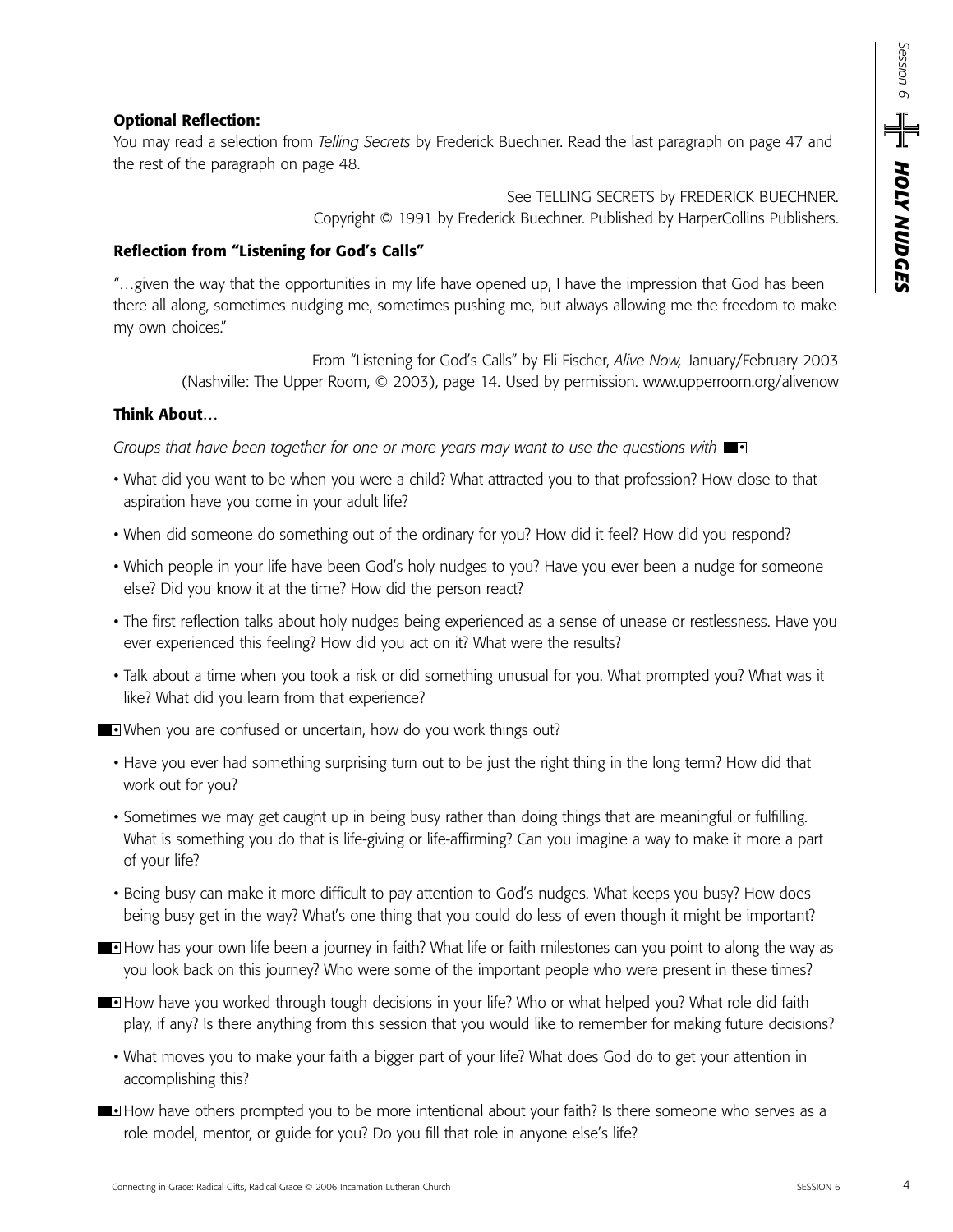#### **Optional Reflection:**

You may read a selection from *Telling Secrets* by Frederick Buechner. Read the last paragraph on page 47 and the rest of the paragraph on page 48.

> See TELLING SECRETS by FREDERICK BUECHNER. Copyright © 1991 by Frederick Buechner. Published by HarperCollins Publishers.

#### **Reflection from "Listening for God's Calls"**

"…given the way that the opportunities in my life have opened up, I have the impression that God has been there all along, sometimes nudging me, sometimes pushing me, but always allowing me the freedom to make my own choices."

From "Listening for God's Calls" by Eli Fischer, *Alive Now,* January/February 2003 (Nashville: The Upper Room, © 2003), page 14. Used by permission. www.upperroom.org/alivenow

#### **Think About…**

*Groups that have been together for one or more years may want to use the questions with* •

- What did you want to be when you were a child? What attracted you to that profession? How close to that aspiration have you come in your adult life?
- When did someone do something out of the ordinary for you? How did it feel? How did you respond?
- Which people in your life have been God's holy nudges to you? Have you ever been a nudge for someone else? Did you know it at the time? How did the person react?
- The first reflection talks about holy nudges being experienced as a sense of unease or restlessness. Have you ever experienced this feeling? How did you act on it? What were the results?
- Talk about a time when you took a risk or did something unusual for you. What prompted you? What was it like? What did you learn from that experience?

• When you are confused or uncertain, how do you work things out?

- Have you ever had something surprising turn out to be just the right thing in the long term? How did that work out for you?
- Sometimes we may get caught up in being busy rather than doing things that are meaningful or fulfilling. What is something you do that is life-giving or life-affirming? Can you imagine a way to make it more a part of your life?
- Being busy can make it more difficult to pay attention to God's nudges. What keeps you busy? How does being busy get in the way? What's one thing that you could do less of even though it might be important?
- **How has your own life been a journey in faith? What life or faith milestones can you point to along the way as** you look back on this journey? Who were some of the important people who were present in these times?
- **How have you worked through tough decisions in your life? Who or what helped you? What role did faith** play, if any? Is there anything from this session that you would like to remember for making future decisions?
	- What moves you to make your faith a bigger part of your life? What does God do to get your attention in accomplishing this?
- **How have others prompted you to be more intentional about your faith? Is there someone who serves as a** role model, mentor, or guide for you? Do you fill that role in anyone else's life?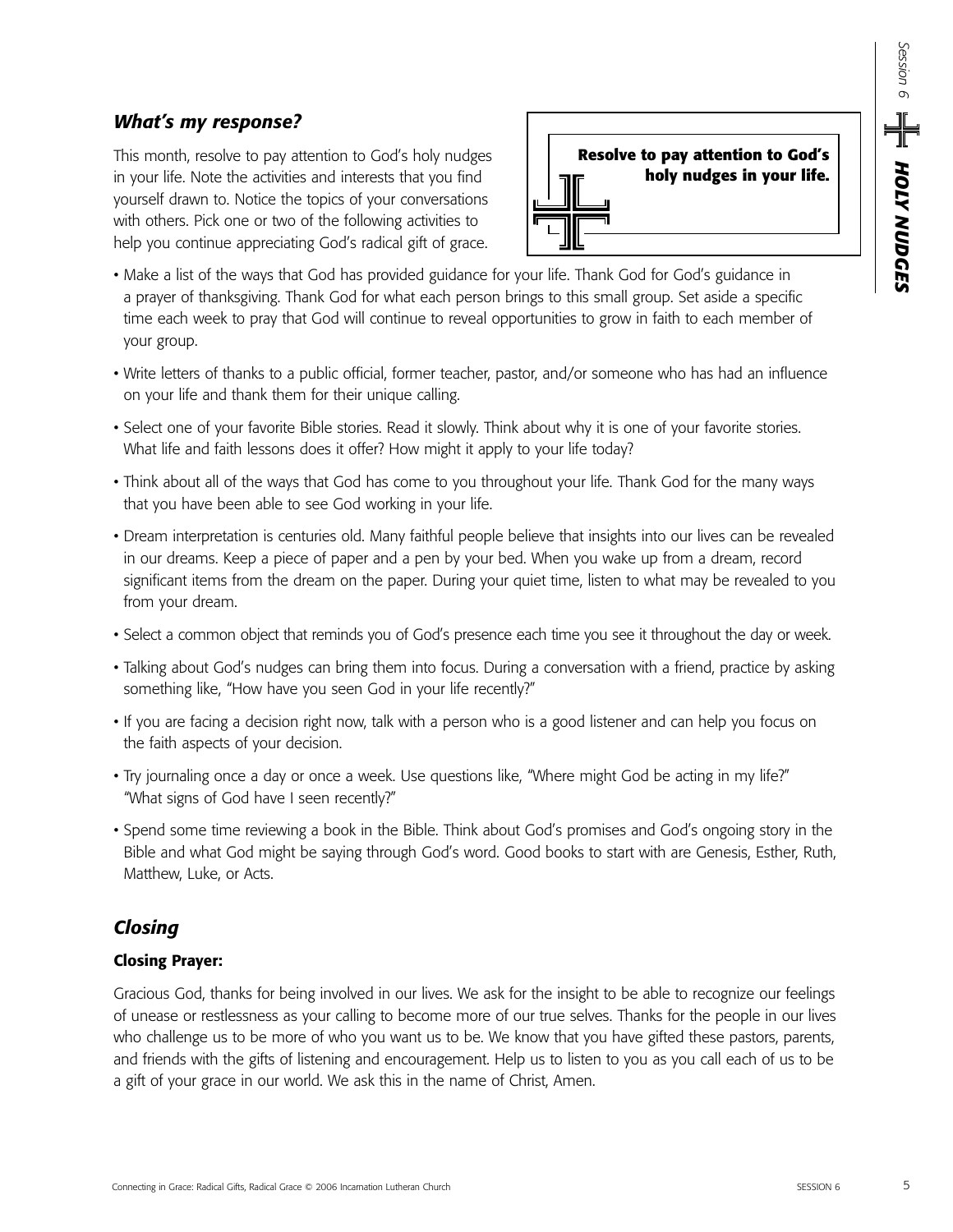## *What's my response?*

This month, resolve to pay attention to God's holy nudges in your life. Note the activities and interests that you find yourself drawn to. Notice the topics of your conversations with others. Pick one or two of the following activities to help you continue appreciating God's radical gift of grace.



- Make a list of the ways that God has provided guidance for your life. Thank God for God's guidance in a prayer of thanksgiving. Thank God for what each person brings to this small group. Set aside a specific time each week to pray that God will continue to reveal opportunities to grow in faith to each member of your group.
- Write letters of thanks to a public official, former teacher, pastor, and/or someone who has had an influence on your life and thank them for their unique calling.
- Select one of your favorite Bible stories. Read it slowly. Think about why it is one of your favorite stories. What life and faith lessons does it offer? How might it apply to your life today?
- Think about all of the ways that God has come to you throughout your life. Thank God for the many ways that you have been able to see God working in your life.
- Dream interpretation is centuries old. Many faithful people believe that insights into our lives can be revealed in our dreams. Keep a piece of paper and a pen by your bed. When you wake up from a dream, record significant items from the dream on the paper. During your quiet time, listen to what may be revealed to you from your dream.
- Select a common object that reminds you of God's presence each time you see it throughout the day or week.
- Talking about God's nudges can bring them into focus. During a conversation with a friend, practice by asking something like, "How have you seen God in your life recently?"
- If you are facing a decision right now, talk with a person who is a good listener and can help you focus on the faith aspects of your decision.
- Try journaling once a day or once a week. Use questions like, "Where might God be acting in my life?" "What signs of God have I seen recently?"
- Spend some time reviewing a book in the Bible. Think about God's promises and God's ongoing story in the Bible and what God might be saying through God's word. Good books to start with are Genesis, Esther, Ruth, Matthew, Luke, or Acts.

## *Closing*

### **Closing Prayer:**

Gracious God, thanks for being involved in our lives. We ask for the insight to be able to recognize our feelings of unease or restlessness as your calling to become more of our true selves. Thanks for the people in our lives who challenge us to be more of who you want us to be. We know that you have gifted these pastors, parents, and friends with the gifts of listening and encouragement. Help us to listen to you as you call each of us to be a gift of your grace in our world. We ask this in the name of Christ, Amen. In your life by some training and traineded him grace for the result of the Condition Connection<br>when the control of the Condition Connection Landing and the control of the Connection Landing in the control of the Connecti